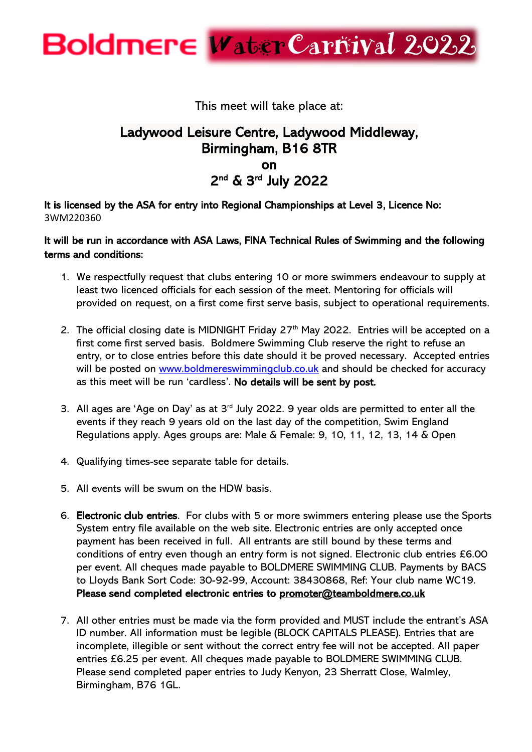This meet will take place at:

#### Ladywood Leisure Centre, Ladywood Middleway, Birmingham, B16 8TR on 2<sup>nd</sup> & 3<sup>rd</sup> July 2022

It is licensed by the ASA for entry into Regional Championships at Level 3, Licence No: 3WM220360

#### It will be run in accordance with ASA Laws, FINA Technical Rules of Swimming and the following terms and conditions:

- 1. We respectfully request that clubs entering 10 or more swimmers endeavour to supply at least two licenced officials for each session of the meet. Mentoring for officials will provided on request, on a first come first serve basis, subject to operational requirements.
- 2. The official closing date is MIDNIGHT Friday  $27<sup>th</sup>$  May 2022. Entries will be accepted on a first come first served basis. Boldmere Swimming Club reserve the right to refuse an entry, or to close entries before this date should it be proved necessary. Accepted entries will be posted on [www.boldmereswimmingclub.co.uk](http://www.boldmereswimmingclub.co.uk/) and should be checked for accuracy as this meet will be run 'cardless'. No details will be sent by post.
- 3. All ages are 'Age on Day' as at  $3<sup>rd</sup>$  July 2022. 9 year olds are permitted to enter all the events if they reach 9 years old on the last day of the competition, Swim England Regulations apply. Ages groups are: Male & Female: 9, 10, 11, 12, 13, 14 & Open
- 4. Qualifying times-see separate table for details.
- 5. All events will be swum on the HDW basis.
- 6. Electronic club entries. For clubs with 5 or more swimmers entering please use the Sports System entry file available on the web site. Electronic entries are only accepted once payment has been received in full. All entrants are still bound by these terms and conditions of entry even though an entry form is not signed. Electronic club entries £6.00 per event. All cheques made payable to BOLDMERE SWIMMING CLUB. Payments by BACS to Lloyds Bank Sort Code: 30-92-99, Account: 38430868, Ref: Your club name WC19. Please send completed electronic entries to [promoter@teamboldmere.co.uk](mailto:promoter@teamboldmere.co.uk)
- 7. All other entries must be made via the form provided and MUST include the entrant's ASA ID number. All information must be legible (BLOCK CAPITALS PLEASE). Entries that are incomplete, illegible or sent without the correct entry fee will not be accepted. All paper entries £6.25 per event. All cheques made payable to BOLDMERE SWIMMING CLUB. Please send completed paper entries to Judy Kenyon, 23 Sherratt Close, Walmley, Birmingham, B76 1GL.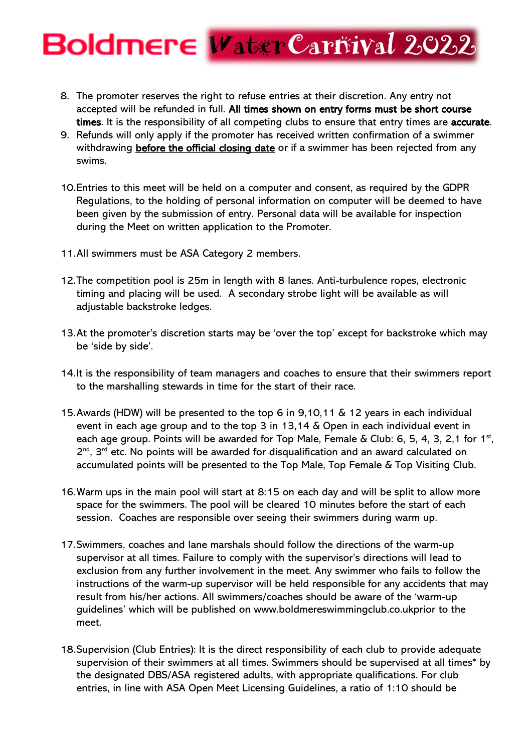- 8. The promoter reserves the right to refuse entries at their discretion. Any entry not accepted will be refunded in full. All times shown on entry forms must be short course times. It is the responsibility of all competing clubs to ensure that entry times are accurate.
- 9. Refunds will only apply if the promoter has received written confirmation of a swimmer withdrawing **before the official closing date** or if a swimmer has been rejected from any swims.
- 10.Entries to this meet will be held on a computer and consent, as required by the GDPR Regulations, to the holding of personal information on computer will be deemed to have been given by the submission of entry. Personal data will be available for inspection during the Meet on written application to the Promoter.
- 11.All swimmers must be ASA Category 2 members.
- 12.The competition pool is 25m in length with 8 lanes. Anti-turbulence ropes, electronic timing and placing will be used. A secondary strobe light will be available as will adjustable backstroke ledges.
- 13.At the promoter's discretion starts may be 'over the top' except for backstroke which may be 'side by side'.
- 14.It is the responsibility of team managers and coaches to ensure that their swimmers report to the marshalling stewards in time for the start of their race.
- 15.Awards (HDW) will be presented to the top 6 in 9,10,11 & 12 years in each individual event in each age group and to the top 3 in 13,14 & Open in each individual event in each age group. Points will be awarded for Top Male, Female & Club: 6, 5, 4, 3, 2,1 for  $1<sup>st</sup>$ , 2<sup>nd</sup>, 3<sup>rd</sup> etc. No points will be awarded for disqualification and an award calculated on accumulated points will be presented to the Top Male, Top Female & Top Visiting Club.
- 16.Warm ups in the main pool will start at 8:15 on each day and will be split to allow more space for the swimmers. The pool will be cleared 10 minutes before the start of each session. Coaches are responsible over seeing their swimmers during warm up.
- 17.Swimmers, coaches and lane marshals should follow the directions of the warm-up supervisor at all times. Failure to comply with the supervisor's directions will lead to exclusion from any further involvement in the meet. Any swimmer who fails to follow the instructions of the warm-up supervisor will be held responsible for any accidents that may result from his/her actions. All swimmers/coaches should be aware of the 'warm-up guidelines' which will be published on www.boldmereswimmingclub.co.ukprior to the meet.
- 18.Supervision (Club Entries): It is the direct responsibility of each club to provide adequate supervision of their swimmers at all times. Swimmers should be supervised at all times\* by the designated DBS/ASA registered adults, with appropriate qualifications. For club entries, in line with ASA Open Meet Licensing Guidelines, a ratio of 1:10 should be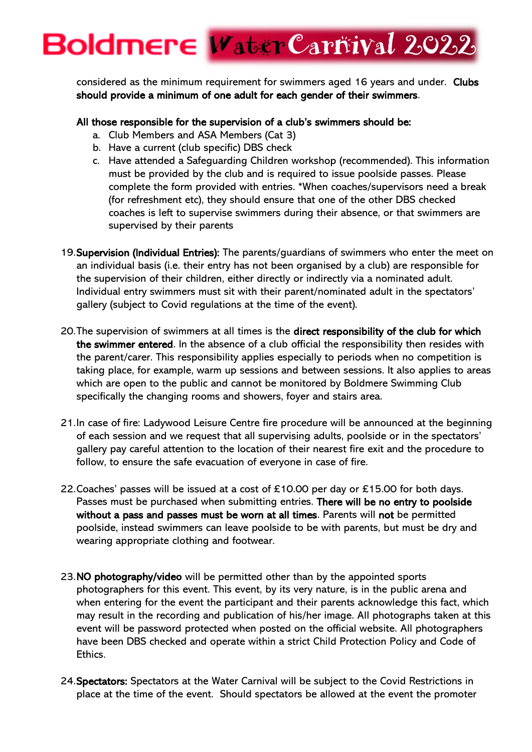considered as the minimum requirement for swimmers aged 16 years and under. Clubs should provide a minimum of one adult for each gender of their swimmers.

#### All those responsible for the supervision of a club's swimmers should be:

- a. Club Members and ASA Members (Cat 3)
- b. Have a current (club specific) DBS check
- c. Have attended a Safeguarding Children workshop (recommended). This information must be provided by the club and is required to issue poolside passes. Please complete the form provided with entries. \*When coaches/supervisors need a break (for refreshment etc), they should ensure that one of the other DBS checked coaches is left to supervise swimmers during their absence, or that swimmers are supervised by their parents
- 19. Supervision (Individual Entries): The parents/quardians of swimmers who enter the meet on an individual basis (i.e. their entry has not been organised by a club) are responsible for the supervision of their children, either directly or indirectly via a nominated adult. Individual entry swimmers must sit with their parent/nominated adult in the spectators' gallery (subject to Covid regulations at the time of the event).
- 20.The supervision of swimmers at all times is the direct responsibility of the club for which the swimmer entered. In the absence of a club official the responsibility then resides with the parent/carer. This responsibility applies especially to periods when no competition is taking place, for example, warm up sessions and between sessions. It also applies to areas which are open to the public and cannot be monitored by Boldmere Swimming Club specifically the changing rooms and showers, foyer and stairs area.
- 21.In case of fire: Ladywood Leisure Centre fire procedure will be announced at the beginning of each session and we request that all supervising adults, poolside or in the spectators' gallery pay careful attention to the location of their nearest fire exit and the procedure to follow, to ensure the safe evacuation of everyone in case of fire.
- 22. Coaches' passes will be issued at a cost of £10.00 per day or £15.00 for both days. Passes must be purchased when submitting entries. There will be no entry to poolside without a pass and passes must be worn at all times. Parents will not be permitted poolside, instead swimmers can leave poolside to be with parents, but must be dry and wearing appropriate clothing and footwear.
- 23.NO photography/video will be permitted other than by the appointed sports photographers for this event. This event, by its very nature, is in the public arena and when entering for the event the participant and their parents acknowledge this fact, which may result in the recording and publication of his/her image. All photographs taken at this event will be password protected when posted on the official website. All photographers have been DBS checked and operate within a strict Child Protection Policy and Code of Ethics.
- 24.Spectators: Spectators at the Water Carnival will be subject to the Covid Restrictions in place at the time of the event. Should spectators be allowed at the event the promoter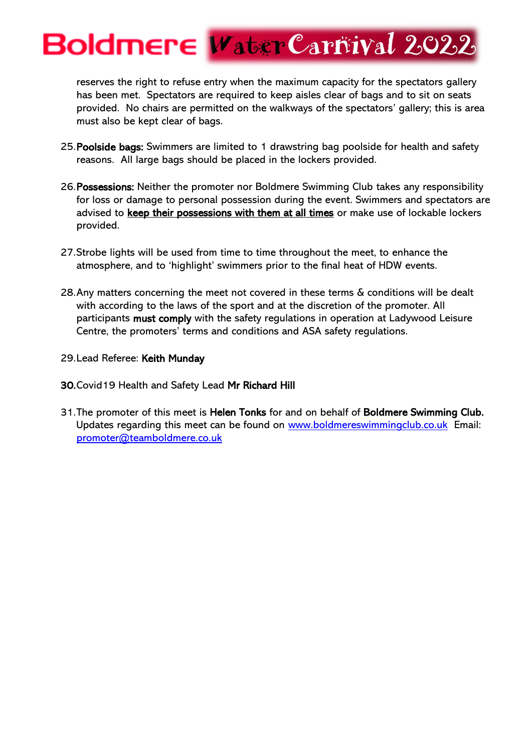reserves the right to refuse entry when the maximum capacity for the spectators gallery has been met. Spectators are required to keep aisles clear of bags and to sit on seats provided. No chairs are permitted on the walkways of the spectators' gallery; this is area must also be kept clear of bags.

- 25.Poolside bags: Swimmers are limited to 1 drawstring bag poolside for health and safety reasons. All large bags should be placed in the lockers provided.
- 26.Possessions: Neither the promoter nor Boldmere Swimming Club takes any responsibility for loss or damage to personal possession during the event. Swimmers and spectators are advised to keep their possessions with them at all times or make use of lockable lockers provided.
- 27.Strobe lights will be used from time to time throughout the meet, to enhance the atmosphere, and to 'highlight' swimmers prior to the final heat of HDW events.
- 28.Any matters concerning the meet not covered in these terms & conditions will be dealt with according to the laws of the sport and at the discretion of the promoter. All participants must comply with the safety regulations in operation at Ladywood Leisure Centre, the promoters' terms and conditions and ASA safety regulations.
- 29.Lead Referee: Keith Munday
- 30.Covid19 Health and Safety Lead Mr Richard Hill
- 31.The promoter of this meet is Helen Tonks for and on behalf of Boldmere Swimming Club. Updates regarding this meet can be found on [www.boldmereswimmingclub.co.uk](http://www.boldmereswimmingclub.co.uk/) Email: [promoter@teamboldmere.co.uk](mailto:promoter@teamboldmere.co.uk)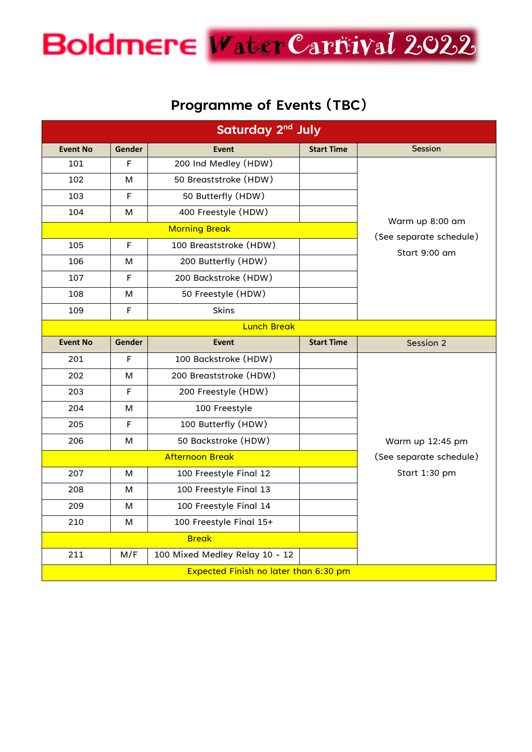#### **Programme of Events (TBC)**

| Saturday 2 <sup>nd</sup> July |               |                                       |                   |                  |  |  |  |  |
|-------------------------------|---------------|---------------------------------------|-------------------|------------------|--|--|--|--|
| <b>Event No</b>               | <b>Gender</b> | <b>Event</b>                          | <b>Start Time</b> | Session          |  |  |  |  |
| 101                           | F             | 200 Ind Medley (HDW)                  |                   | Warm up 8:00 am  |  |  |  |  |
| 102                           | м             | 50 Breaststroke (HDW)                 |                   |                  |  |  |  |  |
| 103                           | $\mathsf F$   | 50 Butterfly (HDW)                    |                   |                  |  |  |  |  |
| 104                           | м             | 400 Freestyle (HDW)                   |                   |                  |  |  |  |  |
|                               |               | (See separate schedule)               |                   |                  |  |  |  |  |
| 105                           | $\mathsf F$   | 100 Breaststroke (HDW)                |                   | Start 9:00 am    |  |  |  |  |
| 106                           | м             | 200 Butterfly (HDW)                   |                   |                  |  |  |  |  |
| 107                           | $\mathsf F$   | 200 Backstroke (HDW)                  |                   |                  |  |  |  |  |
| 108                           | м             | 50 Freestyle (HDW)                    |                   |                  |  |  |  |  |
| 109                           | $\mathsf F$   | <b>Skins</b>                          |                   |                  |  |  |  |  |
| <b>Lunch Break</b>            |               |                                       |                   |                  |  |  |  |  |
| <b>Event No</b>               | Gender        | <b>Event</b>                          | <b>Start Time</b> | Session 2        |  |  |  |  |
| 201                           | F             | 100 Backstroke (HDW)                  |                   |                  |  |  |  |  |
| 202                           | м             | 200 Breaststroke (HDW)                |                   |                  |  |  |  |  |
| 203                           | $\mathsf F$   | 200 Freestyle (HDW)                   |                   |                  |  |  |  |  |
| 204                           | м             | 100 Freestyle                         |                   |                  |  |  |  |  |
| 205                           | $\mathsf F$   | 100 Butterfly (HDW)                   |                   |                  |  |  |  |  |
| 206                           | м             | 50 Backstroke (HDW)                   |                   | Warm up 12:45 pm |  |  |  |  |
|                               |               | (See separate schedule)               |                   |                  |  |  |  |  |
| 207                           | м             | 100 Freestyle Final 12                |                   | Start 1:30 pm    |  |  |  |  |
| 208                           | м             | 100 Freestyle Final 13                |                   |                  |  |  |  |  |
| 209                           | м             | 100 Freestyle Final 14                |                   |                  |  |  |  |  |
| 210                           | м             | 100 Freestyle Final 15+               |                   |                  |  |  |  |  |
| <b>Break</b>                  |               |                                       |                   |                  |  |  |  |  |
| 211                           | M/F           | 100 Mixed Medley Relay 10 - 12        |                   |                  |  |  |  |  |
|                               |               | Expected Finish no later than 6:30 pm |                   |                  |  |  |  |  |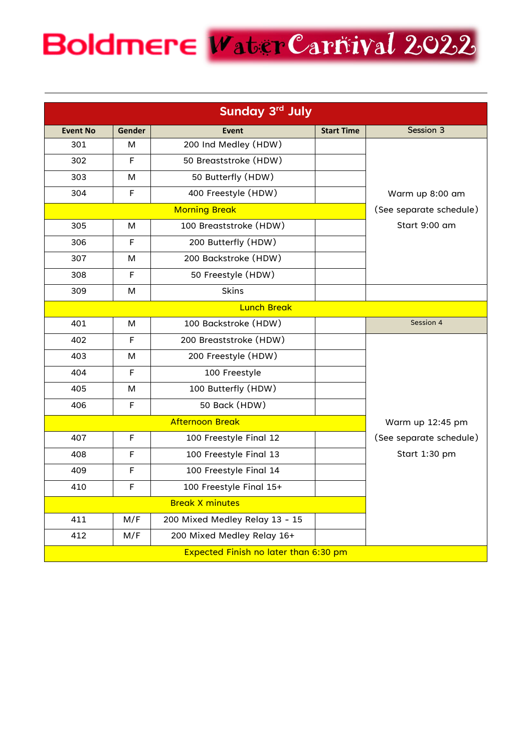| Sunday 3rd July |                         |                                       |                   |                         |  |  |  |  |
|-----------------|-------------------------|---------------------------------------|-------------------|-------------------------|--|--|--|--|
| <b>Event No</b> | Gender                  | <b>Event</b>                          | <b>Start Time</b> | Session 3               |  |  |  |  |
| 301             | м                       | 200 Ind Medley (HDW)                  |                   |                         |  |  |  |  |
| 302             | F                       | 50 Breaststroke (HDW)                 |                   |                         |  |  |  |  |
| 303             | м                       | 50 Butterfly (HDW)                    |                   |                         |  |  |  |  |
| 304             | F                       | 400 Freestyle (HDW)                   |                   | Warm up 8:00 am         |  |  |  |  |
|                 | (See separate schedule) |                                       |                   |                         |  |  |  |  |
| 305             | M                       | 100 Breaststroke (HDW)                |                   | Start 9:00 am           |  |  |  |  |
| 306             | F                       | 200 Butterfly (HDW)                   |                   |                         |  |  |  |  |
| 307             | м                       | 200 Backstroke (HDW)                  |                   |                         |  |  |  |  |
| 308             | F                       | 50 Freestyle (HDW)                    |                   |                         |  |  |  |  |
| 309             | м                       | <b>Skins</b>                          |                   |                         |  |  |  |  |
|                 |                         |                                       |                   |                         |  |  |  |  |
| 401             | M                       | 100 Backstroke (HDW)                  |                   | Session 4               |  |  |  |  |
| 402             | F                       | 200 Breaststroke (HDW)                |                   |                         |  |  |  |  |
| 403             | M                       | 200 Freestyle (HDW)                   |                   |                         |  |  |  |  |
| 404             | F                       | 100 Freestyle                         |                   |                         |  |  |  |  |
| 405             | м                       | 100 Butterfly (HDW)                   |                   |                         |  |  |  |  |
| 406             | F                       | 50 Back (HDW)                         |                   |                         |  |  |  |  |
|                 | Warm up 12:45 pm        |                                       |                   |                         |  |  |  |  |
| 407             | F                       | 100 Freestyle Final 12                |                   | (See separate schedule) |  |  |  |  |
| 408             | F                       | 100 Freestyle Final 13                |                   | Start 1:30 pm           |  |  |  |  |
| 409             | F                       | 100 Freestyle Final 14                |                   |                         |  |  |  |  |
| 410             | F                       | 100 Freestyle Final 15+               |                   |                         |  |  |  |  |
|                 |                         |                                       |                   |                         |  |  |  |  |
| 411             | M/F                     | 200 Mixed Medley Relay 13 - 15        |                   |                         |  |  |  |  |
| 412             | M/F                     | 200 Mixed Medley Relay 16+            |                   |                         |  |  |  |  |
|                 |                         | Expected Finish no later than 6:30 pm |                   |                         |  |  |  |  |